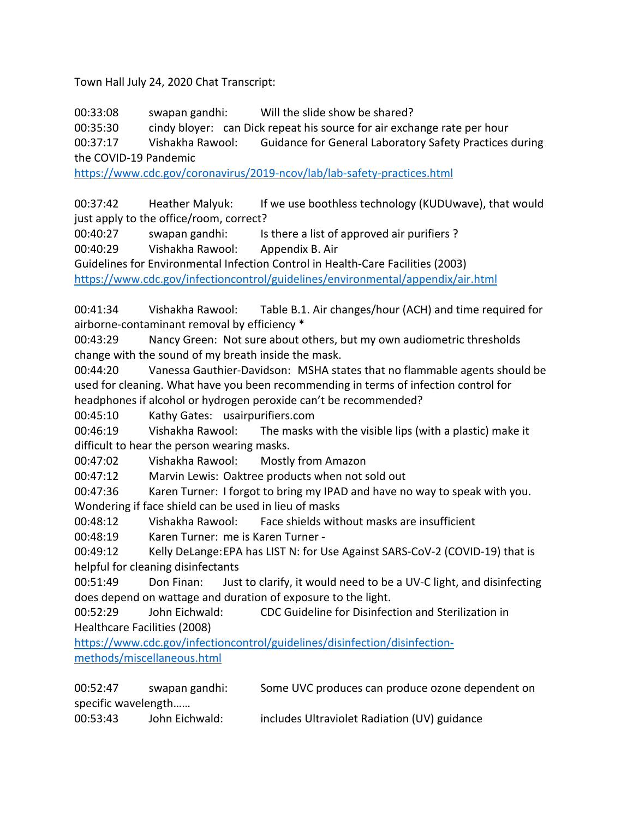Town Hall July 24, 2020 Chat Transcript:

00:33:08 swapan gandhi: Will the slide show be shared?

00:35:30 cindy bloyer: can Dick repeat his source for air exchange rate per hour

00:37:17 Vishakha Rawool: Guidance for General Laboratory Safety Practices during the COVID-19 Pandemic

https://www.cdc.gov/coronavirus/2019-ncov/lab/lab-safety-practices.html

00:37:42 Heather Malyuk: If we use boothless technology (KUDUwave), that would just apply to the office/room, correct?

00:40:27 swapan gandhi: Is there a list of approved air purifiers ?

00:40:29 Vishakha Rawool: Appendix B. Air

Guidelines for Environmental Infection Control in Health-Care Facilities (2003)

https://www.cdc.gov/infectioncontrol/guidelines/environmental/appendix/air.html

00:41:34 Vishakha Rawool: Table B.1. Air changes/hour (ACH) and time required for airborne-contaminant removal by efficiency \*

00:43:29 Nancy Green: Not sure about others, but my own audiometric thresholds change with the sound of my breath inside the mask.

00:44:20 Vanessa Gauthier-Davidson: MSHA states that no flammable agents should be used for cleaning. What have you been recommending in terms of infection control for headphones if alcohol or hydrogen peroxide can't be recommended?

00:45:10 Kathy Gates: usairpurifiers.com

00:46:19 Vishakha Rawool: The masks with the visible lips (with a plastic) make it difficult to hear the person wearing masks.

00:47:02 Vishakha Rawool: Mostly from Amazon

00:47:12 Marvin Lewis: Oaktree products when not sold out

00:47:36 Karen Turner: I forgot to bring my IPAD and have no way to speak with you. Wondering if face shield can be used in lieu of masks

00:48:12 Vishakha Rawool: Face shields without masks are insufficient

00:48:19 Karen Turner: me is Karen Turner -

00:49:12 Kelly DeLange:EPA has LIST N: for Use Against SARS-CoV-2 (COVID-19) that is helpful for cleaning disinfectants

00:51:49 Don Finan: Just to clarify, it would need to be a UV-C light, and disinfecting does depend on wattage and duration of exposure to the light.

00:52:29 John Eichwald: CDC Guideline for Disinfection and Sterilization in Healthcare Facilities (2008)

https://www.cdc.gov/infectioncontrol/guidelines/disinfection/disinfectionmethods/miscellaneous.html

| 00:52:47            | swapan gandhi: | Some UVC produces can produce ozone dependent on |
|---------------------|----------------|--------------------------------------------------|
| specific wavelength |                |                                                  |
| 00:53:43            | John Eichwald: | includes Ultraviolet Radiation (UV) guidance     |